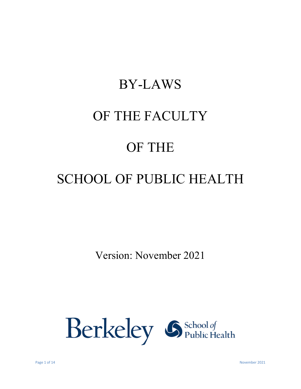# BY-LAWS OF THE FACULTY OF THE SCHOOL OF PUBLIC HEALTH

Version: November 2021

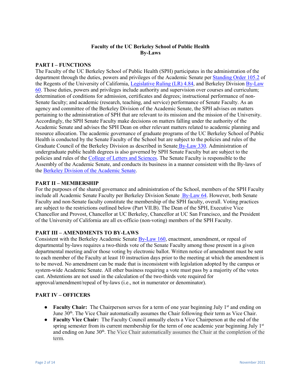# **Faculty of the UC Berkeley School of Public Health By-Laws**

#### **PART I – FUNCTIONS**

The Faculty of the UC Berkeley School of Public Health (SPH) participates in the administration of the department through the duties, powers and privileges of the Academic Senate pe[r Standing Order 105.2](http://regents.universityofcalifornia.edu/governance/standing-orders/so1052.html) of the Regents of the University of California[, Legislative Ruling \(LR\) 4.84,](https://senate.universityofcalifornia.edu/bylaws-regulations/appendix2.html) and Berkeley Division By-Law [60.](https://academic-senate.berkeley.edu/bylaws/60-faculty-government) Those duties, powers and privileges include authority and supervision over courses and curriculum; determination of conditions for admission, certificates and degrees; instructional performance of non-Senate faculty; and academic (research, teaching, and service) performance of Senate Faculty. As an agency and committee of the Berkeley Division of the Academic Senate, the SPH advises on matters pertaining to the administration of SPH that are relevant to its mission and the mission of the University. Accordingly, the SPH Senate Faculty make decisions on matters falling under the authority of the Academic Senate and advises the SPH Dean on other relevant matters related to academic planning and resource allocation. The academic governance of graduate programs of the UC Berkeley School of Public Health is conducted by the Senate Faculty of the School but are subject to the policies and rules of the Graduate Council of the Berkeley Division as described in Senate [By-Law 330.](https://senate.universityofcalifornia.edu/bylaws-regulations/bylaws/blpart3.html#bl330) Administration of undergraduate public health degrees is also governed by SPH Senate Faculty but are subject to the policies and rules of the [College of Letters and Sciences.](http://guide.berkeley.edu/undergraduate/degree-programs/public-health/) The Senate Faculty is responsible to the Assembly of the Academic Senate, and conducts its business in a manner consistent with the By-laws of the [Berkeley Division of the Academic Senate.](https://academic-senate.berkeley.edu/resources/manual)

# **PART II – MEMBERSHIP**

For the purposes of the shared governance and administration of the School, members of the SPH Faculty include all Academic Senate Faculty per Berkeley Division Senate [By-Law 64.](https://academic-senate.berkeley.edu/bylaws/64-faculty-membership) However, both Senate Faculty and non-Senate faculty constitute the membership of the SPH faculty, overall. Voting practices are subject to the restrictions outlined below (Part VII.B). The Dean of the SPH, Executive Vice Chancellor and Provost, Chancellor at UC Berkeley, Chancellor at UC San Francisco, and the President of the University of California are all ex-officio (non-voting) members of the SPH Faculty.

# **PART III – AMENDMENTS TO BY-LAWS**

Consistent with the Berkeley Academic Senat[e By-Law 160,](https://academic-senate.berkeley.edu/bylaws/160-voting-requirements) enactment, amendment, or repeal of departmental by-laws requires a two-thirds vote of the Senate Faculty among those present in a given departmental meeting and/or those voting by electronic ballot. Written notice of amendment must be sent to each member of the Faculty at least 10 instruction days prior to the meeting at which the amendment is to be moved. No amendment can be made that is inconsistent with legislation adopted by the campus or system-wide Academic Senate. All other business requiring a vote must pass by a majority of the votes cast. Abstentions are not used in the calculation of the two-thirds vote required for approval/amendment/repeal of by-laws (i.e., not in numerator or denominator).

#### **PART IV – OFFICERS**

- **Faculty Chair:** The Chairperson serves for a term of one year beginning July 1<sup>st</sup> and ending on June 30<sup>th</sup>. The Vice Chair automatically assumes the Chair following their term as Vice Chair.
- **Faculty Vice Chair:** The Faculty Council annually elects a Vice Chairperson at the end of the spring semester from its current membership for the term of one academic year beginning July  $1<sup>st</sup>$ and ending on June 30<sup>th</sup>. The Vice Chair automatically assumes the Chair at the completion of the term.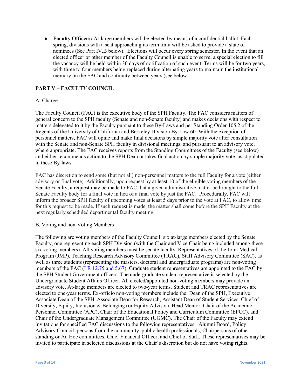● **Faculty Officers:** At-large members will be elected by means of a confidential ballot. Each spring, divisions with a seat approaching its term limit will be asked to provide a slate of nominees (See Part IV.B below). Elections will occur every spring semester. In the event that an elected officer or other member of the Faculty Council is unable to serve, a special election to fill the vacancy will be held within 30 days of notification of such event. Terms will be for two years, with three to four members being replaced during alternating years to maintain the institutional memory on the FAC and continuity between years (see below).

# **PART V – FACULTY COUNCIL**

# A. Charge

The Faculty Council (FAC) is the executive body of the SPH Faculty. The FAC considers matters of general concern to the SPH faculty (Senate and non-Senate faculty) and makes decisions with respect to matters delegated to it by the Faculty pursuant to these By-Laws and per Standing Order 105.2 of the Regents of the University of California and Berkeley Division By-Law 60. With the exception of personnel matters, FAC will opine and make final decisions by simple majority vote after consultation with the Senate and non-Senate SPH faculty in divisional meetings, and pursuant to an advisory vote, where appropriate. The FAC receives reports from the Standing Committees of the Faculty (see below) and either recommends action to the SPH Dean or takes final action by simple majority vote, as stipulated in these By-laws.

FAC has discretion to send some (but not all) non-personnel matters to the full Faculty for a vote (either advisory or final vote). Additionally, upon request by at least 10 of the eligible voting members of the Senate Faculty, a request may be made to FAC that a given administrative matter be brought to the full Senate Faculty body for a final vote in lieu of a final vote by just the FAC. Procedurally, FAC will inform the broader SPH faculty of upcoming votes at least 5 days prior to the vote at FAC, to allow time for this request to be made. If such request is made, the matter shall come before the SPH Faculty at the next regularly scheduled departmental faculty meeting.

#### B. Voting and non-Voting Members

The following are voting members of the Faculty Council: six at-large members elected by the Senate Faculty, one representing each SPH Division (with the Chair and Vice Chair being included among these six voting members). All voting members must be senate faculty. Representatives of the Joint Medical Program (JMP), Teaching Research Advisory Committee (TRAC), Staff Advisory Committee (SAC), as well as three students (representing the masters, doctoral and undergraduate programs) are non-voting members of the FAC [\(LR 12.75 and 5.67\)](https://senate.universityofcalifornia.edu/bylaws-regulations/appendix2.html). Graduate student representatives are appointed to the FAC by the SPH Student Government officers. The undergraduate student representative is selected by the Undergraduate Student Affairs Officer. All elected/appointed non-voting members may provide an advisory vote. At-large members are elected to two-year terms. Student and TRAC representatives are elected to one-year terms. Ex-officio non-voting members include the: Dean of the SPH, Executive Associate Dean of the SPH, Associate Dean for Research, Assistant Dean of Student Services, Chief of Diversity, Equity, Inclusion & Belonging (or Equity Advisor), Head Mentor, Chair of the Academic Personnel Committee (APC), Chair of the Educational Policy and Curriculum Committee (EPCC), and Chair of the Undergraduate Management Committee (UGMC). The Chair of the Faculty may extend invitations for specified FAC discussions to the following representatives: Alumni Board, Policy Advisory Council, persons from the community, public health professionals, Chairpersons of other standing or Ad Hoc committees, Chief Financial Officer, and Chief of Staff. These representatives may be invited to participate in selected discussions at the Chair's discretion but do not have voting rights.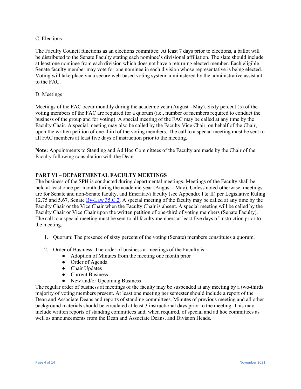#### C. Elections

The Faculty Council functions as an elections committee. At least 7 days prior to elections, a ballot will be distributed to the Senate Faculty stating each nominee's divisional affiliation. The slate should include at least one nominee from each division which does not have a returning elected member. Each eligible Senate faculty member may vote for one nominee in each division whose representative is being elected. Voting will take place via a secure web-based voting system administered by the administrative assistant to the FAC.

# D. Meetings

Meetings of the FAC occur monthly during the academic year (August - May). Sixty percent (5) of the voting members of the FAC are required for a quorum (i.e., number of members required to conduct the business of the group and for voting). A special meeting of the FAC may be called at any time by the Faculty Chair. A special meeting may also be called by the Faculty Vice Chair, on behalf of the Chair, upon the written petition of one-third of the voting members. The call to a special meeting must be sent to all FAC members at least five days of instruction prior to the meeting.

**Note:** Appointments to Standing and Ad Hoc Committees of the Faculty are made by the Chair of the Faculty following consultation with the Dean.

# **PART VI – DEPARTMENTAL FACULTY MEETINGS**

The business of the SPH is conducted during departmental meetings. Meetings of the Faculty shall be held at least once per month during the academic year (August - May). Unless noted otherwise, meetings are for Senate and non-Senate faculty, and Emeritae/i faculty (see Appendix I & II) per Legislative Ruling 12.75 and 5.67, Senate **By-Law 35.C.2**. A special meeting of the faculty may be called at any time by the Faculty Chair or the Vice Chair when the Faculty Chair is absent. A special meeting will be called by the Faculty Chair or Vice Chair upon the written petition of one-third of voting members (Senate Faculty). The call to a special meeting must be sent to all faculty members at least five days of instruction prior to the meeting.

- 1. Quorum: The presence of sixty percent of the voting (Senate) members constitutes a quorum.
- 2. Order of Business: The order of business at meetings of the Faculty is:
	- Adoption of Minutes from the meeting one month prior
	- Order of Agenda
	- Chair Updates
	- Current Business
	- New and/or Upcoming Business

The regular order of business at meetings of the faculty may be suspended at any meeting by a two-thirds majority of voting members present. At least one meeting per semester should include a report of the Dean and Associate Deans and reports of standing committees. Minutes of previous meeting and all other background materials should be circulated at least 3 instructional days prior to the meeting. This may include written reports of standing committees and, when required, of special and ad hoc committees as well as announcements from the Dean and Associate Deans, and Division Heads.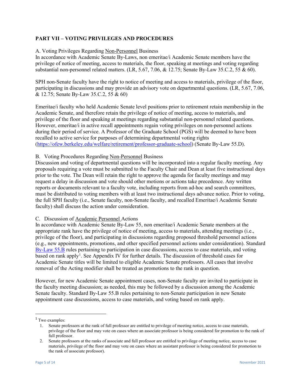# **PART VII – VOTING PRIVILEGES AND PROCEDURES**

# A. Voting Privileges Regarding Non-Personnel Business

In accordance with Academic Senate By-Laws, non emeritae/i Academic Senate members have the privilege of notice of meeting, access to materials, the floor, speaking at meetings and voting regarding substantial non-personnel related matters. (LR, 5.67, 7.06, & 12.75; Senate By-Law 35.C.2, 55 & 60).

SPH non-Senate faculty have the right to notice of meeting and access to materials, privilege of the floor, participating in discussions and may provide an advisory vote on departmental questions. (LR, 5.67, 7.06, & 12.75; Senate By-Law 35.C.2, 55 & 60)

Emeritae/i faculty who held Academic Senate level positions prior to retirement retain membership in the Academic Senate, and therefore retain the privilege of notice of meeting, access to materials, and privilege of the floor and speaking at meetings regarding substantial non-personnel related questions. However, emeritae/i in active recall appointments regain voting privileges on non-personnel actions during their period of service. A Professor of the Graduate School (PGS) will be deemed to have been recalled to active service for purposes of determining departmental voting rights [\(https://ofew.berkeley.edu/welfare/retirement/professor-graduate-school\)](https://ofew.berkeley.edu/welfare/retirement/professor-graduate-school) (Senate By-Law 55.D).

# B. Voting Procedures Regarding Non-Personnel Business

Discussion and voting of departmental questions will be incorporated into a regular faculty meeting. Any proposals requiring a vote must be submitted to the Faculty Chair and Dean at least five instructional days prior to the vote. The Dean will retain the right to approve the agenda for faculty meetings and may request a delay in discussion and vote should other motions or actions take precedence. Any written reports or documents relevant to a faculty vote, including reports from ad-hoc and search committees, must be distributed to voting members with at least two instructional days advance notice. Prior to voting, the full SPH faculty (i.e., Senate faculty, non-Senate faculty, and recalled Emeritae/i Academic Senate faculty) shall discuss the action under consideration.

# C. Discussion of Academic Personnel Actions

In accordance with Academic Senate By-Law 55, non emeritae/i Academic Senate members at the appropriate rank have the privilege of notice of meeting, access to materials, attending meetings (i.e., privilege of the floor), and participating in discussions regarding proposed threshold personnel actions (e.g., new appointments, promotions, and other specified personnel actions under consideration). Standard [By-Law 55.B](https://senate.universityofcalifornia.edu/bylaws-regulations/bylaws/blpart1.html#bl45) rules pertaining to participation in case discussions, access to case materials, and voting based on rank apply<sup>[1](#page-4-0)</sup>. See Appendix IV for further details. The discussion of threshold cases for Academic Senate titles will be limited to eligible Academic Senate professors. All cases that involve removal of the Acting modifier shall be treated as promotions to the rank in question.

However, for new Academic Senate appointment cases, non-Senate faculty are invited to participate in the faculty meeting discussion; as needed, this may be followed by a discussion among the Academic Senate faculty. Standard By-Law 55.B rules pertaining to non-Senate participation in new Senate appointment case discussions, access to case materials, and voting based on rank apply.

<span id="page-4-0"></span><sup>&</sup>lt;sup>1</sup> Two examples:

<sup>1.</sup> Senate professors at the rank of full professor are entitled to privilege of meeting notice, access to case materials, privilege of the floor and may vote on cases where an associate professor is being considered for promotion to the rank of full professor.

<sup>2.</sup> Senate professors at the ranks of associate and full professor are entitled to privilege of meeting notice, access to case materials, privilege of the floor and may vote on cases where an assistant professor is being considered for promotion to the rank of associate professor).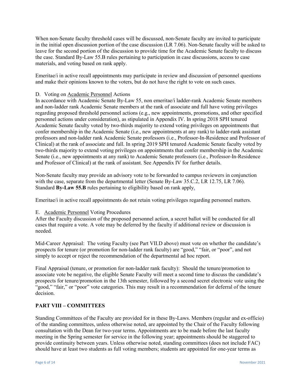When non-Senate faculty threshold cases will be discussed, non-Senate faculty are invited to participate in the initial open discussion portion of the case discussion (LR 7.06). Non-Senate faculty will be asked to leave for the second portion of the discussion to provide time for the Academic Senate faculty to discuss the case. Standard By-Law 55.B rules pertaining to participation in case discussions, access to case materials, and voting based on rank apply.

Emeritae/i in active recall appointments may participate in review and discussion of personnel questions and make their opinions known to the voters, but do not have the right to vote on such cases.

# D. Voting on Academic Personnel Actions

In accordance with Academic Senate By-Law 55, non emeritae/i ladder-rank Academic Senate members and non-ladder rank Academic Senate members at the rank of associate and full have voting privileges regarding proposed threshold personnel actions (e.g., new appointments, promotions, and other specified personnel actions under consideration), as stipulated in Appendix IV. In spring 2018 SPH tenured Academic Senate faculty voted by two-thirds majority to extend voting privileges on appointments that confer membership in the Academic Senate (i.e., new appointments at any rank) to ladder-rank assistant professors and non-ladder rank Academic Senate professors (i.e., Professor-In-Residence and Professor of Clinical) at the rank of associate and full. In spring 2019 SPH tenured Academic Senate faculty voted by two-thirds majority to extend voting privileges on appointments that confer membership in the Academic Senate (i.e., new appointments at any rank) to Academic Senate professors (i.e., Professor-In-Residence and Professor of Clinical) at the rank of assistant. See Appendix IV for further details.

Non-Senate faculty may provide an advisory vote to be forwarded to campus reviewers in conjunction with the case, separate from the departmental letter (Senate By-Law 35.C.2, LR 12.75, LR 7.06). Standard **By-Law 55.B** rules pertaining to eligibility based on rank apply.

Emeritae/i in active recall appointments do not retain voting privileges regarding personnel matters.

# E. Academic Personnel Voting Procedures

After the Faculty discussion of the proposed personnel action, a secret ballot will be conducted for all cases that require a vote. A vote may be deferred by the faculty if additional review or discussion is needed.

Mid-Career Appraisal: The voting Faculty (see Part VII.D above) must vote on whether the candidate's prospects for tenure (or promotion for non-ladder rank faculty) are "good," "fair, or "poor", and not simply to accept or reject the recommendation of the departmental ad hoc report.

Final Appraisal (tenure, or promotion for non-ladder rank faculty): Should the tenure/promotion to associate vote be negative, the eligible Senate Faculty will meet a second time to discuss the candidate's prospects for tenure/promotion in the 13th semester, followed by a second secret electronic vote using the "good," "fair," or "poor" vote categories. This may result in a recommendation for deferral of the tenure decision.

# **PART VIII – COMMITTEES**

Standing Committees of the Faculty are provided for in these By-Laws. Members (regular and ex-officio) of the standing committees, unless otherwise noted, are appointed by the Chair of the Faculty following consultation with the Dean for two-year terms. Appointments are to be made before the last faculty meeting in the Spring semester for service in the following year; appointments should be staggered to provide continuity between years. Unless otherwise noted, standing committees (does not include FAC) should have at least two students as full voting members; students are appointed for one-year terms as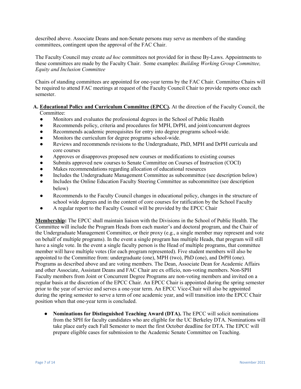described above. Associate Deans and non-Senate persons may serve as members of the standing committees, contingent upon the approval of the FAC Chair.

The Faculty Council may create *ad hoc* committees not provided for in these By-Laws. Appointments to these committees are made by the Faculty Chair. Some examples: *Building Working Group Committee, Equity and Inclusion Committee*

Chairs of standing committees are appointed for one-year terms by the FAC Chair. Committee Chairs will be required to attend FAC meetings at request of the Faculty Council Chair to provide reports once each semester.

# **A. Educational Policy and Curriculum Committee (EPCC).** At the direction of the Faculty Council, the Committee:

- Monitors and evaluates the professional degrees in the School of Public Health
- Recommends policy, criteria and procedures for MPH, DrPH, and joint/concurrent degrees
- Recommends academic prerequisites for entry into degree programs school-wide.
- Monitors the curriculum for degree programs school-wide.
- Reviews and recommends revisions to the Undergraduate, PhD, MPH and DrPH curricula and core courses
- Approves or disapproves proposed new courses or modifications to existing courses
- Submits approved new courses to Senate Committee on Courses of Instruction (COCI)
- Makes recommendations regarding allocation of educational resources
- Includes the Undergraduate Management Committee as subcommittee (see description below)
- Includes the Online Education Faculty Steering Committee as subcommittee (see description below)
- Recommends to the Faculty Council changes in educational policy, changes in the structure of school wide degrees and in the content of core courses for ratification by the School Faculty
- A regular report to the Faculty Council will be provided by the EPCC Chair

**Membership:** The EPCC shall maintain liaison with the Divisions in the School of Public Health. The Committee will include the Program Heads from each master's and doctoral program, and the Chair of the Undergraduate Management Committee, or their proxy (e.g., a single member may represent and vote on behalf of multiple programs). In the event a single program has multiple Heads, that program will still have a single vote. In the event a single faculty person is the Head of multiple programs, that committee member will have multiple votes (for each program represented). Five student members will also be appointed to the Committee from: undergraduate (one), MPH (two), PhD (one), and DrPH (one). Programs as described above and are voting members. The Dean, Associate Dean for Academic Affairs and other Associate, Assistant Deans and FAC Chair are ex officio, non-voting members. Non-SPH Faculty members from Joint or Concurrent Degree Programs are non-voting members and invited on a regular basis at the discretion of the EPCC Chair. An EPCC Chair is appointed during the spring semester prior to the year of service and serves a one-year term. An EPCC Vice-Chair will also be appointed during the spring semester to serve a term of one academic year, and will transition into the EPCC Chair position when that one-year term is concluded.

● **Nominations for Distinguished Teaching Award (DTA).** The EPCC will solicit nominations from the SPH for faculty candidates who are eligible for the UC Berkeley DTA. Nominations will take place early each Fall Semester to meet the first October deadline for DTA. The EPCC will prepare eligible cases for submission to the Academic Senate Committee on Teaching.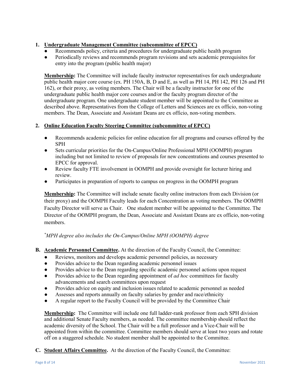# **1. Undergraduate Management Committee (subcommittee of EPCC)**

- Recommends policy, criteria and procedures for undergraduate public health program
- Periodically reviews and recommends program revisions and sets academic prerequisites for entry into the program (public health major)

**Membership:** The Committee will include faculty instructor representatives for each undergraduate public health major core course (ex. PH 150A, B, D and E, as well as PH 14, PH 142, PH 126 and PH 162), or their proxy, as voting members. The Chair will be a faculty instructor for one of the undergraduate public health major core courses and/or the faculty program director of the undergraduate program. One undergraduate student member will be appointed to the Committee as described above. Representatives from the College of Letters and Sciences are ex officio, non-voting members. The Dean, Associate and Assistant Deans are ex officio, non-voting members.

# **2. Online Education Faculty Steering Committee (subcommittee of EPCC)**

- Recommends academic policies for online education for all programs and courses offered by the SPH
- Sets curricular priorities for the On-Campus/Online Professional MPH (OOMPH) program including but not limited to review of proposals for new concentrations and courses presented to EPCC for approval.
- Review faculty FTE involvement in OOMPH and provide oversight for lecturer hiring and review.
- Participates in preparation of reports to campus on progress in the OOMPH program

**Membership:** The Committee will include senate faculty online instructors from each Division (or their proxy) and the OOMPH Faculty leads for each Concentration as voting members. The OOMPH Faculty Director will serve as Chair. One student member will be appointed to the Committee. The Director of the OOMPH program, the Dean, Associate and Assistant Deans are ex officio, non-voting members.

# *\* MPH degree also includes the On-Campus/Online MPH (OOMPH) degree*

- **B. Academic Personnel Committee.** At the direction of the Faculty Council, the Committee:
	- Reviews, monitors and develops academic personnel policies, as necessary
	- Provides advice to the Dean regarding academic personnel issues
	- Provides advice to the Dean regarding specific academic personnel actions upon request
	- Provides advice to the Dean regarding appointment of *ad hoc* committees for faculty advancements and search committees upon request
	- Provides advice on equity and inclusion issues related to academic personnel as needed
	- Assesses and reports annually on faculty salaries by gender and race/ethnicity
	- A regular report to the Faculty Council will be provided by the Committee Chair

**Membership:** The Committee will include one full ladder-rank professor from each SPH division and additional Senate Faculty members, as needed. The committee membership should reflect the academic diversity of the School. The Chair will be a full professor and a Vice-Chair will be appointed from within the committee. Committee members should serve at least two years and rotate off on a staggered schedule. No student member shall be appointed to the Committee.

**C. Student Affairs Committee.** At the direction of the Faculty Council, the Committee: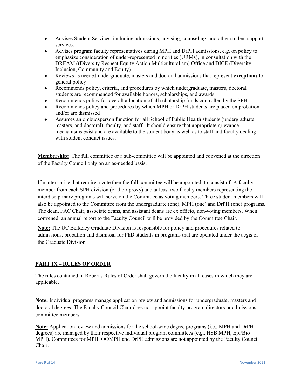- Advises Student Services, including admissions, advising, counseling, and other student support services.
- Advises program faculty representatives during MPH and DrPH admissions, e.g. on policy to emphasize consideration of under-represented minorities (URMs), in consultation with the DREAM ((Diversity Respect Equity Action Multiculturalism) Office and DICE (Diversity, Inclusion, Community and Equity).
- Reviews as needed undergraduate, masters and doctoral admissions that represent **exceptions** to general policy
- Recommends policy, criteria, and procedures by which undergraduate, masters, doctoral students are recommended for available honors, scholarships, and awards
- Recommends policy for overall allocation of all scholarship funds controlled by the SPH
- Recommends policy and procedures by which MPH or DrPH students are placed on probation and/or are dismissed
- Assumes an ombudsperson function for all School of Public Health students (undergraduate, masters, and doctoral), faculty, and staff. It should ensure that appropriate grievance mechanisms exist and are available to the student body as well as to staff and faculty dealing with student conduct issues.

**Membership:** The full committee or a sub-committee will be appointed and convened at the direction of the Faculty Council only on an as-needed basis.

If matters arise that require a vote then the full committee will be appointed, to consist of: A faculty member from each SPH division (or their proxy) and at least two faculty members representing the interdisciplinary programs will serve on the Committee as voting members. Three student members will also be appointed to the Committee from the undergraduate (one), MPH (one) and DrPH (one) programs. The dean, FAC Chair, associate deans, and assistant deans are ex officio, non-voting members. When convened, an annual report to the Faculty Council will be provided by the Committee Chair.

**Note:** The UC Berkeley Graduate Division is responsible for policy and procedures related to admissions, probation and dismissal for PhD students in programs that are operated under the aegis of the Graduate Division.

# **PART IX – RULES OF ORDER**

The rules contained in Robert's Rules of Order shall govern the faculty in all cases in which they are applicable.

**Note:** Individual programs manage application review and admissions for undergraduate, masters and doctoral degrees. The Faculty Council Chair does not appoint faculty program directors or admissions committee members.

**Note:** Application review and admissions for the school-wide degree programs (i.e., MPH and DrPH degrees) are managed by their respective individual program committees (e.g., HSB MPH, Epi/Bio MPH). Committees for MPH, OOMPH and DrPH admissions are not appointed by the Faculty Council Chair.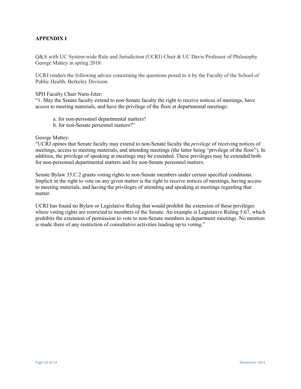# **APPENDIX I**

Q&A with UC System-wide Rule and Jurisdiction (UCRJ) Chair & UC Davis Professor of Philosophy George Mattey in spring 2018:

UCRJ renders the following advice concerning the questions posed to it by the Faculty of the School of Public Health, Berkeley Division.

#### SPH Faculty Chair Nuru-Jeter:

"1. May the Senate faculty extend to non-Senate faculty the right to receive notices of meetings, have access to meeting materials, and have the privilege of the floor at departmental meetings:

- a. for non-personnel departmental matters?
- b. for non-Senate personnel matters?"

# George Mattey:

"UCRJ opines that Senate faculty may extend to non-Senate faculty the *privilege* of receiving notices of meetings, access to meeting materials, and attending meetings (the latter being "privilege of the floor"). In addition, the privilege of speaking at meetings may be extended. These privileges may be extended both for non-personnel departmental matters and for non-Senate personnel matters.

Senate Bylaw 35.C.2 grants voting rights to non-Senate members under certain specified conditions. Implicit in the right to vote on any given matter is the right to receive notices of meetings, having access to meeting materials, and having the privileges of attending and speaking at meetings regarding that matter.

UCRJ has found no Bylaw or Legislative Ruling that would prohibit the extension of these privileges where voting rights are restricted to members of the Senate. An example is Legislative Ruling 5.67, which prohibits the extension of permission to vote to non-Senate members in department meetings. No mention is made there of any restriction of consultative activities leading up to voting."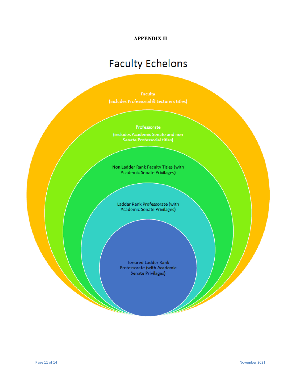# **APPENDIX II**

# **Faculty Echelons**

Non Ladder Rank Faculty Titles (with Academic Senate Privilages)

Ladder Rank Professorate (with Academic Senate Privilages)

Tenured Ladder Rank Professorate (with Academic Senate Privilages)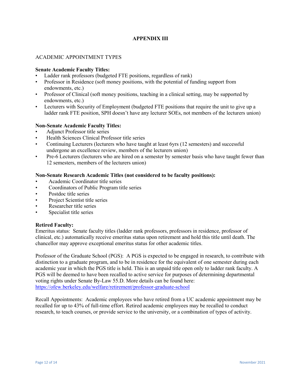# **APPENDIX III**

# ACADEMIC APPOINTMENT TYPES

#### **Senate Academic Faculty Titles:**

- Ladder rank professors (budgeted FTE positions, regardless of rank)
- Professor in Residence (soft money positions, with the potential of funding support from endowments, etc.)
- Professor of Clinical (soft money positions, teaching in a clinical setting, may be supported by endowments, etc.)
- Lecturers with Security of Employment (budgeted FTE positions that require the unit to give up a ladder rank FTE position, SPH doesn't have any lecturer SOEs, not members of the lecturers union)

# **Non-Senate Academic Faculty Titles:**

- Adjunct Professor title series
- Health Sciences Clinical Professor title series
- Continuing Lecturers (lecturers who have taught at least 6yrs (12 semesters) and successful undergone an excellence review, members of the lecturers union)
- Pre-6 Lecturers (lecturers who are hired on a semester by semester basis who have taught fewer than 12 semesters, members of the lecturers union)

# **Non-Senate Research Academic Titles (not considered to be faculty positions):**

- Academic Coordinator title series
- Coordinators of Public Program title series
- Postdoc title series
- Project Scientist title series
- Researcher title series
- Specialist title series

#### **Retired Faculty:**

Emeritus status: Senate faculty titles (ladder rank professors, professors in residence, professor of clinical, etc.) automatically receive emeritus status upon retirement and hold this title until death. The chancellor may approve exceptional emeritus status for other academic titles.

Professor of the Graduate School (PGS): A PGS is expected to be engaged in research, to contribute with distinction to a graduate program, and to be in residence for the equivalent of one semester during each academic year in which the PGS title is held. This is an unpaid title open only to ladder rank faculty. A PGS will be deemed to have been recalled to active service for purposes of determining departmental voting rights under Senate By-Law 55.D. More details can be found here: <https://ofew.berkeley.edu/welfare/retirement/professor-graduate-school>

Recall Appointments: Academic employees who have retired from a UC academic appointment may be recalled for up to 43% of full-time effort. Retired academic employees may be recalled to conduct research, to teach courses, or provide service to the university, or a combination of types of activity.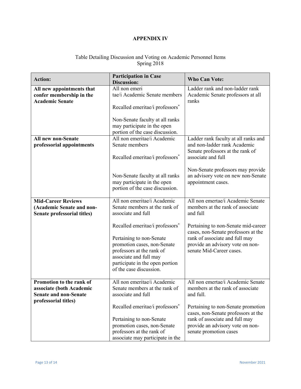# **APPENDIX IV**

# Table Detailing Discussion and Voting on Academic Personnel Items Spring 2018

| <b>Action:</b>                                                                                               | <b>Participation in Case</b><br><b>Discussion:</b>                                                                                                                                                                          | <b>Who Can Vote:</b>                                                                                                                                                         |
|--------------------------------------------------------------------------------------------------------------|-----------------------------------------------------------------------------------------------------------------------------------------------------------------------------------------------------------------------------|------------------------------------------------------------------------------------------------------------------------------------------------------------------------------|
| All new appointments that<br>confer membership in the<br><b>Academic Senate</b>                              | All non emeri<br>tae/i Academic Senate members<br>Recalled emeritae/i professors*                                                                                                                                           | Ladder rank and non-ladder rank<br>Academic Senate professors at all<br>ranks                                                                                                |
|                                                                                                              | Non-Senate faculty at all ranks<br>may participate in the open<br>portion of the case discussion.                                                                                                                           |                                                                                                                                                                              |
| All new non-Senate<br>professorial appointments                                                              | All non emeritae/i Academic<br>Senate members<br>Recalled emeritae/i professors*                                                                                                                                            | Ladder rank faculty at all ranks and<br>and non-ladder rank Academic<br>Senate professors at the rank of<br>associate and full                                               |
|                                                                                                              | Non-Senate faculty at all ranks<br>may participate in the open<br>portion of the case discussion.                                                                                                                           | Non-Senate professors may provide<br>an advisory vote on new non-Senate<br>appointment cases.                                                                                |
| <b>Mid-Career Reviews</b><br>(Academic Senate and non-<br>Senate professorial titles)                        | All non emeritae/i Academic<br>Senate members at the rank of<br>associate and full                                                                                                                                          | All non emertae/i Academic Senate<br>members at the rank of associate<br>and full                                                                                            |
|                                                                                                              | Recalled emeritae/i professors <sup>*</sup><br>Pertaining to non-Senate<br>promotion cases, non-Senate<br>professors at the rank of<br>associate and full may<br>participate in the open portion<br>of the case discussion. | Pertaining to non-Senate mid-career<br>cases, non-Senate professors at the<br>rank of associate and full may<br>provide an advisory vote on non-<br>senate Mid-Career cases. |
| Promotion to the rank of<br>associate (both Academic<br><b>Senate and non-Senate</b><br>professorial titles) | All non emeritae/i Academic<br>Senate members at the rank of<br>associate and full                                                                                                                                          | All non emertae/i Academic Senate<br>members at the rank of associate<br>and full.                                                                                           |
|                                                                                                              | Recalled emeritae/i professors*<br>Pertaining to non-Senate<br>promotion cases, non-Senate<br>professors at the rank of<br>associate may participate in the                                                                 | Pertaining to non-Senate promotion<br>cases, non-Senate professors at the<br>rank of associate and full may<br>provide an advisory vote on non-<br>senate promotion cases    |